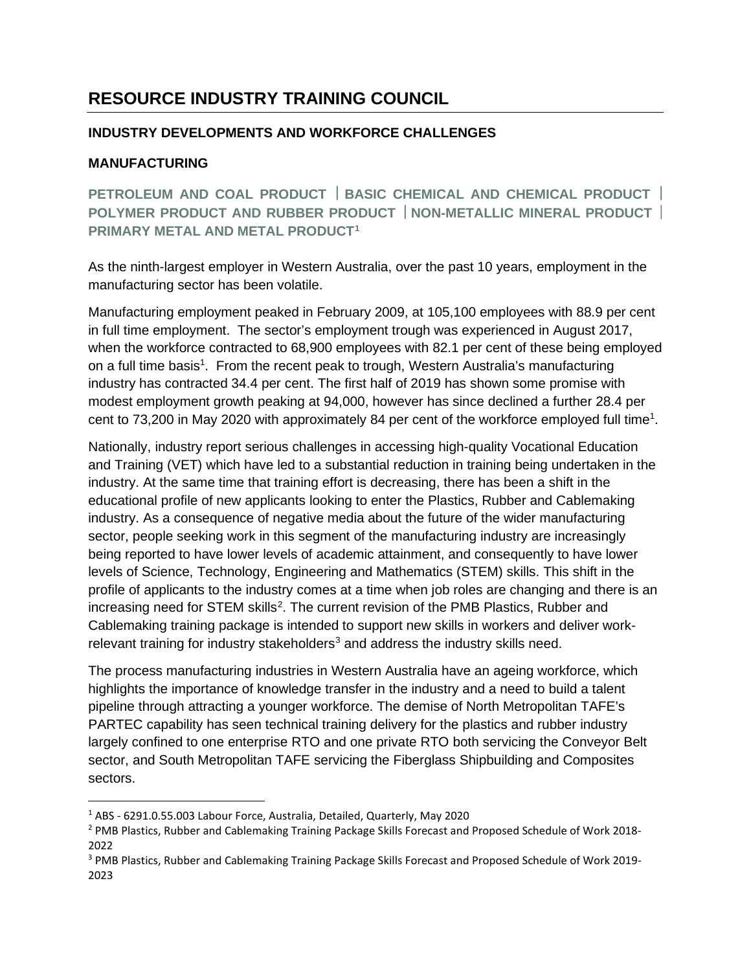## **RESOURCE INDUSTRY TRAINING COUNCIL**

## **INDUSTRY DEVELOPMENTS AND WORKFORCE CHALLENGES**

## **MANUFACTURING**

**PETROLEUM AND COAL PRODUCT | BASIC CHEMICAL AND CHEMICAL PRODUCT | POLYMER PRODUCT AND RUBBER PRODUCT NON-METALLIC MINERAL PRODUCT PRIMARY METAL AND METAL PRODUCT[1](#page-0-0)**

As the ninth-largest employer in Western Australia, over the past 10 years, employment in the manufacturing sector has been volatile.

Manufacturing employment peaked in February 2009, at 105,100 employees with 88.9 per cent in full time employment. The sector's employment trough was experienced in August 2017, when the workforce contracted to 68,900 employees with 82.1 per cent of these being employed on a full time basis<sup>1</sup>. From the recent peak to trough, Western Australia's manufacturing industry has contracted 34.4 per cent. The first half of 2019 has shown some promise with modest employment growth peaking at 94,000, however has since declined a further 28.4 per cent to 73,200 in May 2020 with approximately 84 per cent of the workforce employed full time<sup>1</sup>.

Nationally, industry report serious challenges in accessing high-quality Vocational Education and Training (VET) which have led to a substantial reduction in training being undertaken in the industry. At the same time that training effort is decreasing, there has been a shift in the educational profile of new applicants looking to enter the Plastics, Rubber and Cablemaking industry. As a consequence of negative media about the future of the wider manufacturing sector, people seeking work in this segment of the manufacturing industry are increasingly being reported to have lower levels of academic attainment, and consequently to have lower levels of Science, Technology, Engineering and Mathematics (STEM) skills. This shift in the profile of applicants to the industry comes at a time when job roles are changing and there is an increasing need for STEM skills<sup>[2](#page-0-1)</sup>. The current revision of the PMB Plastics, Rubber and Cablemaking training package is intended to support new skills in workers and deliver work-relevant training for industry stakeholders<sup>[3](#page-0-2)</sup> and address the industry skills need.

The process manufacturing industries in Western Australia have an ageing workforce, which highlights the importance of knowledge transfer in the industry and a need to build a talent pipeline through attracting a younger workforce. The demise of North Metropolitan TAFE's PARTEC capability has seen technical training delivery for the plastics and rubber industry largely confined to one enterprise RTO and one private RTO both servicing the Conveyor Belt sector, and South Metropolitan TAFE servicing the Fiberglass Shipbuilding and Composites sectors.

<span id="page-0-0"></span><sup>1</sup> ABS - 6291.0.55.003 Labour Force, Australia, Detailed, Quarterly, May 2020

<span id="page-0-1"></span><sup>2</sup> PMB Plastics, Rubber and Cablemaking Training Package Skills Forecast and Proposed Schedule of Work 2018- 2022

<span id="page-0-2"></span><sup>3</sup> PMB Plastics, Rubber and Cablemaking Training Package Skills Forecast and Proposed Schedule of Work 2019- 2023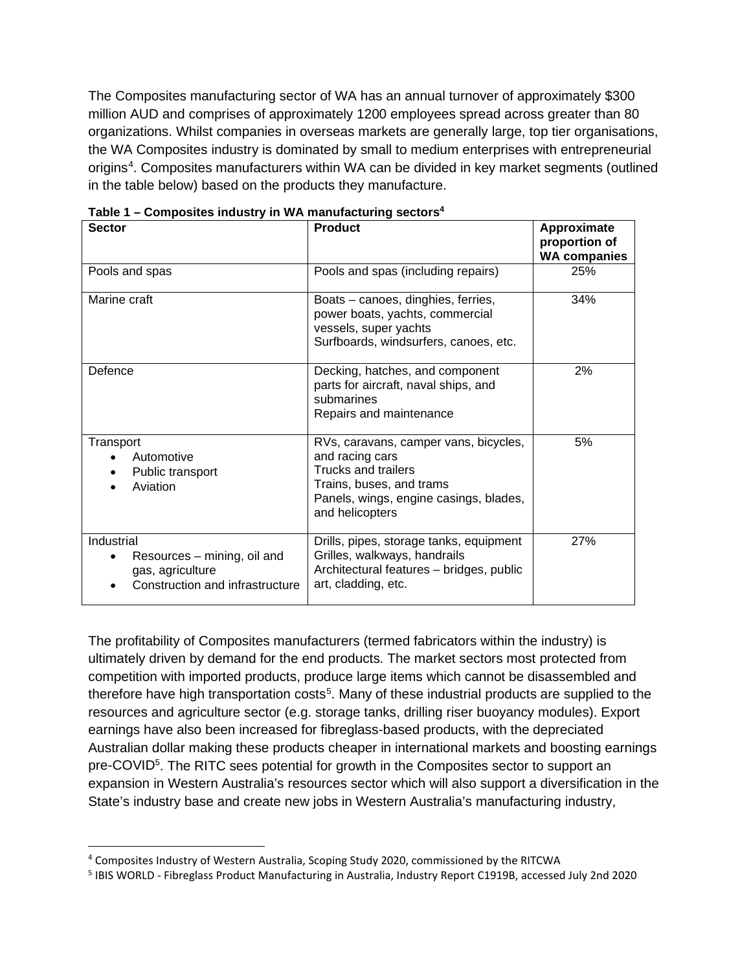The Composites manufacturing sector of WA has an annual turnover of approximately \$300 million AUD and comprises of approximately 1200 employees spread across greater than 80 organizations. Whilst companies in overseas markets are generally large, top tier organisations, the WA Composites industry is dominated by small to medium enterprises with entrepreneurial origins<sup>[4](#page-1-0)</sup>. Composites manufacturers within WA can be divided in key market segments (outlined in the table below) based on the products they manufacture.

| <b>Sector</b>                                                                                    | <b>Product</b>                                                                                                                                                                  | Approximate<br>proportion of<br><b>WA companies</b> |
|--------------------------------------------------------------------------------------------------|---------------------------------------------------------------------------------------------------------------------------------------------------------------------------------|-----------------------------------------------------|
| Pools and spas                                                                                   | Pools and spas (including repairs)                                                                                                                                              | 25%                                                 |
| Marine craft                                                                                     | Boats - canoes, dinghies, ferries,<br>power boats, yachts, commercial<br>vessels, super yachts<br>Surfboards, windsurfers, canoes, etc.                                         | 34%                                                 |
| Defence                                                                                          | Decking, hatches, and component<br>parts for aircraft, naval ships, and<br>submarines<br>Repairs and maintenance                                                                | 2%                                                  |
| Transport<br>Automotive<br>Public transport<br>Aviation                                          | RVs, caravans, camper vans, bicycles,<br>and racing cars<br><b>Trucks and trailers</b><br>Trains, buses, and trams<br>Panels, wings, engine casings, blades,<br>and helicopters | 5%                                                  |
| Industrial<br>Resources - mining, oil and<br>gas, agriculture<br>Construction and infrastructure | Drills, pipes, storage tanks, equipment<br>Grilles, walkways, handrails<br>Architectural features - bridges, public<br>art, cladding, etc.                                      | 27%                                                 |

**Table 1 – Composites industry in WA manufacturing sectors4**

The profitability of Composites manufacturers (termed fabricators within the industry) is ultimately driven by demand for the end products. The market sectors most protected from competition with imported products, produce large items which cannot be disassembled and therefore have high transportation costs<sup>[5](#page-1-1)</sup>. Many of these industrial products are supplied to the resources and agriculture sector (e.g. storage tanks, drilling riser buoyancy modules). Export earnings have also been increased for fibreglass-based products, with the depreciated Australian dollar making these products cheaper in international markets and boosting earnings pre-COVID<sup>5</sup>. The RITC sees potential for growth in the Composites sector to support an expansion in Western Australia's resources sector which will also support a diversification in the State's industry base and create new jobs in Western Australia's manufacturing industry,

<span id="page-1-0"></span><sup>4</sup> Composites Industry of Western Australia, Scoping Study 2020, commissioned by the RITCWA

<span id="page-1-1"></span><sup>5</sup> IBIS WORLD - Fibreglass Product Manufacturing in Australia, Industry Report C1919B, accessed July 2nd 2020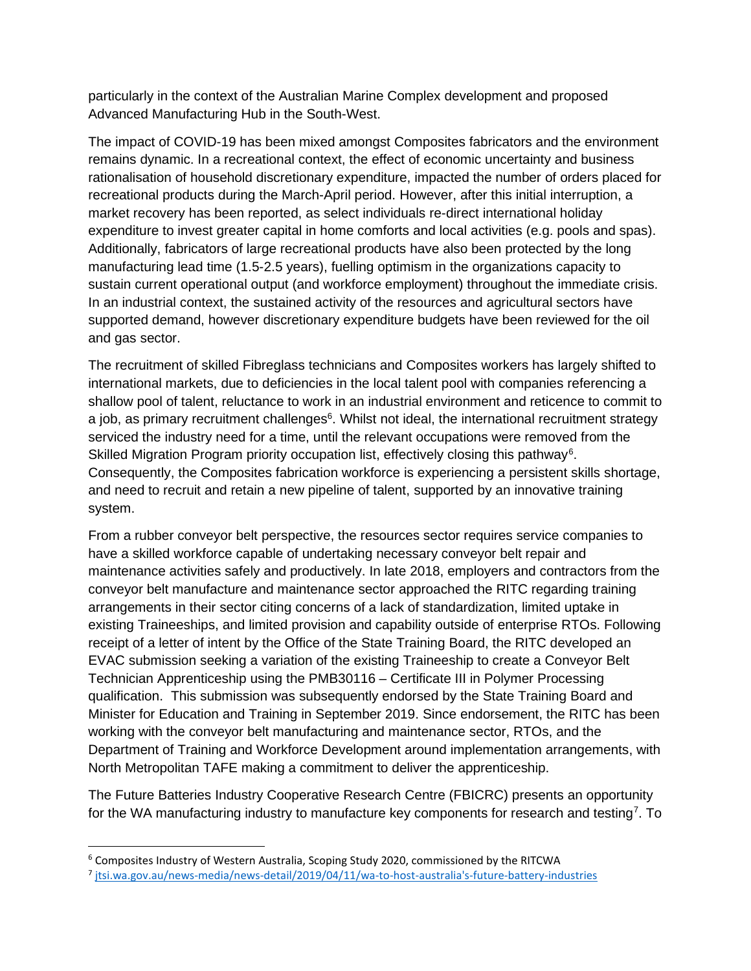particularly in the context of the Australian Marine Complex development and proposed Advanced Manufacturing Hub in the South-West.

The impact of COVID-19 has been mixed amongst Composites fabricators and the environment remains dynamic. In a recreational context, the effect of economic uncertainty and business rationalisation of household discretionary expenditure, impacted the number of orders placed for recreational products during the March-April period. However, after this initial interruption, a market recovery has been reported, as select individuals re-direct international holiday expenditure to invest greater capital in home comforts and local activities (e.g. pools and spas). Additionally, fabricators of large recreational products have also been protected by the long manufacturing lead time (1.5-2.5 years), fuelling optimism in the organizations capacity to sustain current operational output (and workforce employment) throughout the immediate crisis. In an industrial context, the sustained activity of the resources and agricultural sectors have supported demand, however discretionary expenditure budgets have been reviewed for the oil and gas sector.

The recruitment of skilled Fibreglass technicians and Composites workers has largely shifted to international markets, due to deficiencies in the local talent pool with companies referencing a shallow pool of talent, reluctance to work in an industrial environment and reticence to commit to a job, as primary recruitment challenges<sup>6</sup>. Whilst not ideal, the international recruitment strategy serviced the industry need for a time, until the relevant occupations were removed from the Skilled Migration Program priority occupation list, effectively closing this pathway<sup>[6](#page-2-0)</sup>. Consequently, the Composites fabrication workforce is experiencing a persistent skills shortage, and need to recruit and retain a new pipeline of talent, supported by an innovative training system.

From a rubber conveyor belt perspective, the resources sector requires service companies to have a skilled workforce capable of undertaking necessary conveyor belt repair and maintenance activities safely and productively. In late 2018, employers and contractors from the conveyor belt manufacture and maintenance sector approached the RITC regarding training arrangements in their sector citing concerns of a lack of standardization, limited uptake in existing Traineeships, and limited provision and capability outside of enterprise RTOs. Following receipt of a letter of intent by the Office of the State Training Board, the RITC developed an EVAC submission seeking a variation of the existing Traineeship to create a Conveyor Belt Technician Apprenticeship using the PMB30116 – Certificate III in Polymer Processing qualification. This submission was subsequently endorsed by the State Training Board and Minister for Education and Training in September 2019. Since endorsement, the RITC has been working with the conveyor belt manufacturing and maintenance sector, RTOs, and the Department of Training and Workforce Development around implementation arrangements, with North Metropolitan TAFE making a commitment to deliver the apprenticeship.

The Future Batteries Industry Cooperative Research Centre (FBICRC) presents an opportunity for the WA manufacturing industry to manufacture key components for research and testing<sup>[7](#page-2-1)</sup>. To

<span id="page-2-0"></span><sup>6</sup> Composites Industry of Western Australia, Scoping Study 2020, commissioned by the RITCWA

<span id="page-2-1"></span><sup>7</sup> jtsi.wa.gov.au/news-media/news-detail/2019/04/11/wa-to-host-australia's-future-battery-industries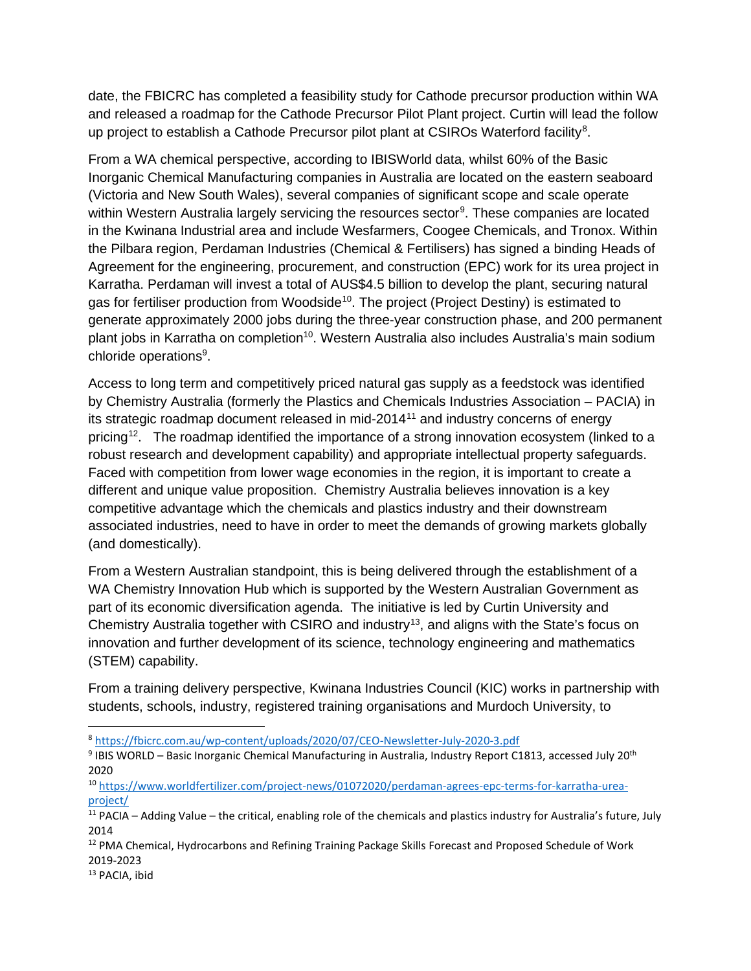date, the FBICRC has completed a feasibility study for Cathode precursor production within WA and released a roadmap for the Cathode Precursor Pilot Plant project. Curtin will lead the follow up project to establish a Cathode Precursor pilot plant at CSIROs Waterford facility<sup>[8](#page-3-0)</sup>.

From a WA chemical perspective, according to IBISWorld data, whilst 60% of the Basic Inorganic Chemical Manufacturing companies in Australia are located on the eastern seaboard (Victoria and New South Wales), several companies of significant scope and scale operate within Western Australia largely servicing the resources sector<sup>[9](#page-3-1)</sup>. These companies are located in the Kwinana Industrial area and include Wesfarmers, Coogee Chemicals, and Tronox. Within the Pilbara region, Perdaman Industries (Chemical & Fertilisers) has signed a binding Heads of Agreement for the engineering, procurement, and construction (EPC) work for its urea project in Karratha. Perdaman will invest a total of AUS\$4.5 billion to develop the plant, securing natural gas for fertiliser production from Woodside<sup>10</sup>. The project (Project Destiny) is estimated to generate approximately 2000 jobs during the three-year construction phase, and 200 permanent plant jobs in Karratha on completion<sup>10</sup>. Western Australia also includes Australia's main sodium chloride operations<sup>9</sup>.

Access to long term and competitively priced natural gas supply as a feedstock was identified by Chemistry Australia (formerly the Plastics and Chemicals Industries Association – PACIA) in its strategic roadmap document released in mid-2014[11](#page-3-3) and industry concerns of energy pricing<sup>12</sup>. The roadmap identified the importance of a strong innovation ecosystem (linked to a robust research and development capability) and appropriate intellectual property safeguards. Faced with competition from lower wage economies in the region, it is important to create a different and unique value proposition. Chemistry Australia believes innovation is a key competitive advantage which the chemicals and plastics industry and their downstream associated industries, need to have in order to meet the demands of growing markets globally (and domestically).

From a Western Australian standpoint, this is being delivered through the establishment of a WA Chemistry Innovation Hub which is supported by the Western Australian Government as part of its economic diversification agenda. The initiative is led by Curtin University and Chemistry Australia together with CSIRO and industry<sup>[13](#page-3-5)</sup>, and aligns with the State's focus on innovation and further development of its science, technology engineering and mathematics (STEM) capability.

From a training delivery perspective, Kwinana Industries Council (KIC) works in partnership with students, schools, industry, registered training organisations and Murdoch University, to

<span id="page-3-0"></span><sup>8</sup> <https://fbicrc.com.au/wp-content/uploads/2020/07/CEO-Newsletter-July-2020-3.pdf>

<span id="page-3-1"></span><sup>9</sup> IBIS WORLD - Basic Inorganic Chemical Manufacturing in Australia, Industry Report C1813, accessed July 20<sup>th</sup> 2020

<span id="page-3-2"></span><sup>10</sup> [https://www.worldfertilizer.com/project-news/01072020/perdaman-agrees-epc-terms-for-karratha-urea](https://www.worldfertilizer.com/project-news/01072020/perdaman-agrees-epc-terms-for-karratha-urea-project/)[project/](https://www.worldfertilizer.com/project-news/01072020/perdaman-agrees-epc-terms-for-karratha-urea-project/)

<span id="page-3-3"></span> $11$  PACIA – Adding Value – the critical, enabling role of the chemicals and plastics industry for Australia's future, July 2014

<span id="page-3-4"></span><sup>12</sup> PMA Chemical, Hydrocarbons and Refining Training Package Skills Forecast and Proposed Schedule of Work 2019-2023

<span id="page-3-5"></span><sup>13</sup> PACIA, ibid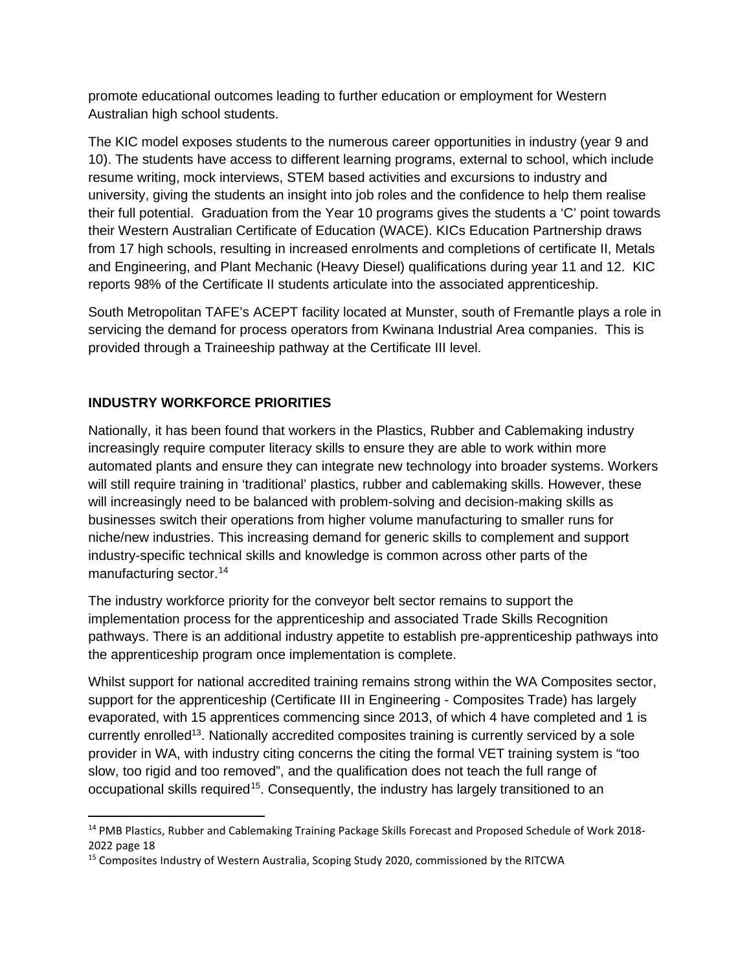promote educational outcomes leading to further education or employment for Western Australian high school students.

The KIC model exposes students to the numerous career opportunities in industry (year 9 and 10). The students have access to different learning programs, external to school, which include resume writing, mock interviews, STEM based activities and excursions to industry and university, giving the students an insight into job roles and the confidence to help them realise their full potential. Graduation from the Year 10 programs gives the students a 'C' point towards their Western Australian Certificate of Education (WACE). KICs Education Partnership draws from 17 high schools, resulting in increased enrolments and completions of certificate II, Metals and Engineering, and Plant Mechanic (Heavy Diesel) qualifications during year 11 and 12. KIC reports 98% of the Certificate II students articulate into the associated apprenticeship.

South Metropolitan TAFE's ACEPT facility located at Munster, south of Fremantle plays a role in servicing the demand for process operators from Kwinana Industrial Area companies. This is provided through a Traineeship pathway at the Certificate III level.

## **INDUSTRY WORKFORCE PRIORITIES**

Nationally, it has been found that workers in the Plastics, Rubber and Cablemaking industry increasingly require computer literacy skills to ensure they are able to work within more automated plants and ensure they can integrate new technology into broader systems. Workers will still require training in 'traditional' plastics, rubber and cablemaking skills. However, these will increasingly need to be balanced with problem-solving and decision-making skills as businesses switch their operations from higher volume manufacturing to smaller runs for niche/new industries. This increasing demand for generic skills to complement and support industry-specific technical skills and knowledge is common across other parts of the manufacturing sector.<sup>[14](#page-4-0)</sup>

The industry workforce priority for the conveyor belt sector remains to support the implementation process for the apprenticeship and associated Trade Skills Recognition pathways. There is an additional industry appetite to establish pre-apprenticeship pathways into the apprenticeship program once implementation is complete.

Whilst support for national accredited training remains strong within the WA Composites sector, support for the apprenticeship (Certificate III in Engineering - Composites Trade) has largely evaporated, with 15 apprentices commencing since 2013, of which 4 have completed and 1 is currently enrolled13. Nationally accredited composites training is currently serviced by a sole provider in WA, with industry citing concerns the citing the formal VET training system is "too slow, too rigid and too removed", and the qualification does not teach the full range of occupational skills required<sup>[15](#page-4-1)</sup>. Consequently, the industry has largely transitioned to an

<span id="page-4-0"></span><sup>&</sup>lt;sup>14</sup> PMB Plastics, Rubber and Cablemaking Training Package Skills Forecast and Proposed Schedule of Work 2018-2022 page 18

<span id="page-4-1"></span><sup>&</sup>lt;sup>15</sup> Composites Industry of Western Australia, Scoping Study 2020, commissioned by the RITCWA